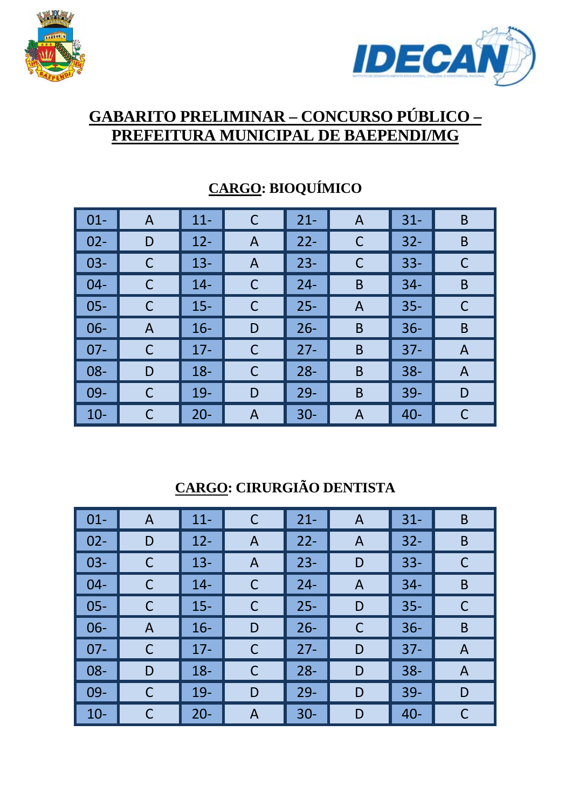



#### **GABARITO PRELIMINAR – CONCURSO PÚBLICO – PREFEITURA MUNICIPAL DE BAEPENDI/MG**

| $\vert$ 01-     | $\mathsf{A}$ | $11 -$ | C | $21 -$ | A | $31 -$ | B |
|-----------------|--------------|--------|---|--------|---|--------|---|
| $02 -$          | D            | $12 -$ | A | $22 -$ | C | $32 -$ | B |
| $\vert$ 03-     | C            | $13 -$ | A | $23 -$ | C | $33 -$ | C |
| $\vert$ 04-     | $\mathsf C$  | $14-$  | C | $24 -$ | B | $34 -$ | B |
| $\vert$ 05-     | C            | $15 -$ | С | $25 -$ | A | $35 -$ | C |
| $06-$           | A            | $16 -$ | D | $26 -$ | B | $36 -$ | B |
| $07 -$          | $\mathsf C$  | $17 -$ | C | $27 -$ | B | $37 -$ | A |
| $\vert$ 08-     | D            | $18 -$ | C | $28 -$ | B | $38 -$ | A |
| $09-$           | C            | $19-$  | D | $29 -$ | B | $39-$  | D |
| $\parallel$ 10- | С            | $20 -$ | A | $30 -$ | A | $40 -$ |   |

## **CARGO: BIOQUÍMICO**

## **CARGO: CIRURGIÃO DENTISTA**

| $\vert$ 01- | $\mathsf{A}$ | $11 -$ | $\mathsf C$ | $21 -$ | A           | $31 -$ | B |
|-------------|--------------|--------|-------------|--------|-------------|--------|---|
| $02 -$      | D            | $12 -$ | A           | $22 -$ | A           | $32 -$ | B |
| $03 -$      | C            | $13 -$ | A           | $23 -$ | D           | $33 -$ | C |
| $\vert$ 04- | C            | $14-$  | $\mathsf C$ | $24 -$ | A           | $34 -$ | B |
| $05 -$      | C            | $15 -$ | C           | $25 -$ | D           | $35 -$ | C |
| $06-$       | A            | $16 -$ | D           | $26 -$ | $\mathsf C$ | $36 -$ | B |
| $07 -$      | C            | $17 -$ | C           | $27 -$ | D           | $37 -$ | A |
| 08-         | D            | $18 -$ | C           | $28 -$ | D           | $38 -$ | A |
| 09-         | C            | $19 -$ | D           | $29 -$ | D           | $39-$  | D |
| $10-$       | С            | $20 -$ | A           | $30 -$ | D           | $40 -$ |   |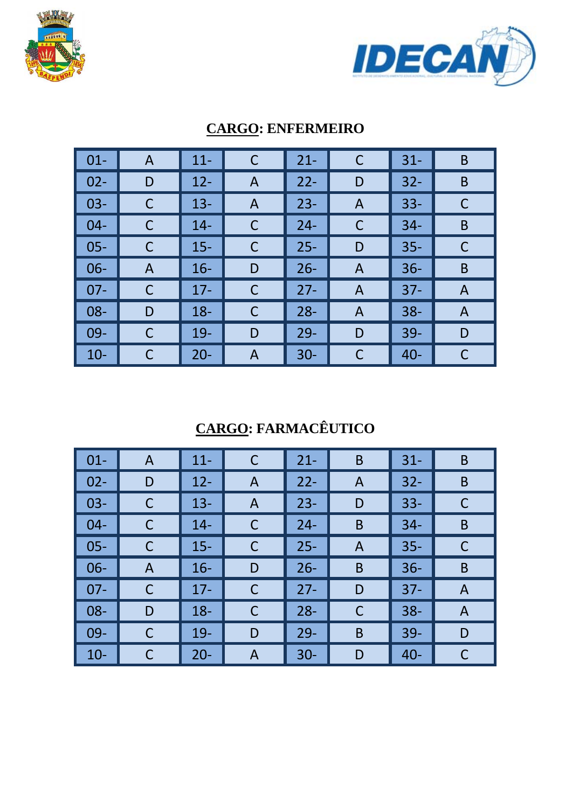



#### **CARGO: ENFERMEIRO**

| $01 -$ | A | $11 -$ | C | $21 -$ | C | $31 -$ | B |
|--------|---|--------|---|--------|---|--------|---|
| $02 -$ | D | $12 -$ | A | $22 -$ | D | $32 -$ | B |
| $03 -$ | C | $13 -$ | A | $23 -$ | A | $33 -$ |   |
| $04 -$ | C | $14 -$ | C | $24 -$ | C | $34 -$ | B |
| $05 -$ | C | $15 -$ | C | $25 -$ | D | $35 -$ | С |
| $06 -$ | A | $16 -$ | D | $26 -$ | A | $36 -$ | B |
| $07 -$ | C | $17 -$ | С | $27 -$ | A | $37 -$ | A |
| 08-    | D | $18 -$ | C | $28 -$ | A | $38 -$ | A |
| 09-    | C | $19-$  | D | $29 -$ | D | $39-$  | D |
| $10-$  | С | $20 -$ | A | $30 -$ | С | $40 -$ |   |

## **CARGO: FARMACÊUTICO**

| $\vert$ 01- | $\mathsf{A}$ | $11 -$ | C           | $21 -$ | B | $31 -$ | B |
|-------------|--------------|--------|-------------|--------|---|--------|---|
| $02 -$      | D            | $12 -$ | A           | $22 -$ | A | $32 -$ | B |
| $03 -$      | C            | $13 -$ | A           | $23 -$ | D | $33 -$ | C |
| $04-$       | C            | $14 -$ | С           | $24 -$ | B | $34 -$ | B |
| $05 -$      | C            | $15 -$ | C           | $25 -$ | A | $35 -$ | C |
| $06 -$      | $\mathsf{A}$ | $16 -$ | D           | $26 -$ | B | $36 -$ | B |
| $07 -$      | C            | $17 -$ | С           | $27 -$ | D | $37 -$ | A |
| $08-$       | D            | $18 -$ | $\mathsf C$ | $28 -$ | C | $38 -$ | A |
| 09-         | $\mathsf C$  | $19 -$ | D           | $29 -$ | B | $39 -$ | D |
| $10 -$      | C            | $20 -$ | A           | $30 -$ | D | $40 -$ | C |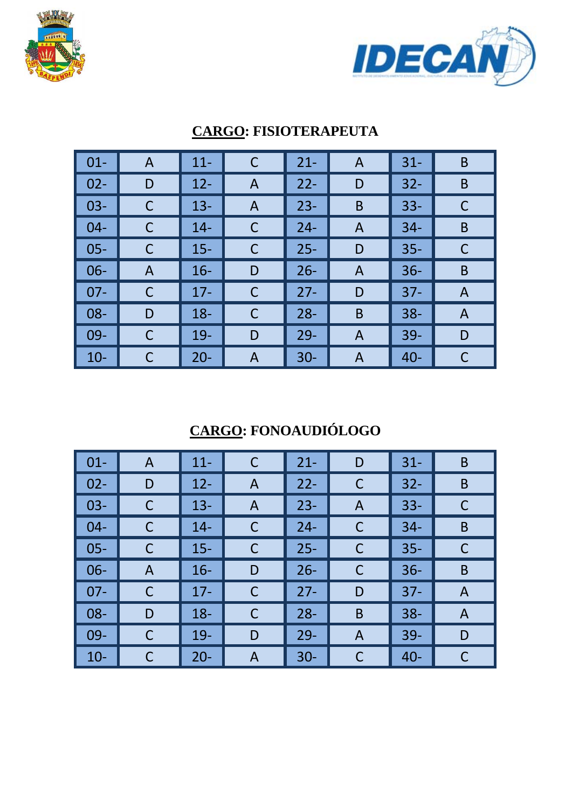



| $\vert$ 01-     | $\mathsf{A}$ | $11 -$ | C | $21 -$ | A | $31 -$ | B            |
|-----------------|--------------|--------|---|--------|---|--------|--------------|
| $02 -$          | D            | $12 -$ | A | $22 -$ | D | $32 -$ | B            |
| $03 -$          | C            | $13 -$ | A | $23 -$ | B | $33 -$ | C            |
| $04-$           | C            | $14 -$ | C | $24 -$ | A | $34-$  | B            |
| $\parallel$ 05- | $\mathsf{C}$ | $15 -$ | C | $25 -$ | D | $35 -$ | $\mathsf{C}$ |
| ı<br>$06 -$     | A            | $16 -$ | D | $26 -$ | A | $36 -$ | B            |
| $07 -$          | C            | $17 -$ | C | $27 -$ | D | $37 -$ | A            |
| 08-             | D            | $18 -$ | C | $28 -$ | B | $38 -$ | A            |
| 09-             | $\mathsf{C}$ | $19 -$ | D | $29 -$ | A | $39 -$ | D            |
| $\vert$ 10-     | C            | $20 -$ | A | $30 -$ | A | $40 -$ | С            |

#### **CARGO: FISIOTERAPEUTA**

## **CARGO: FONOAUDIÓLOGO**

| $\vert$ 01- | A            | $11 -$ | C | $21 -$ | D | $31 -$ | B |
|-------------|--------------|--------|---|--------|---|--------|---|
| $02 -$      | D            | $12 -$ | A | $22 -$ | C | $32 -$ | Β |
| $03 -$      | $\mathsf{C}$ | $13 -$ | A | $23 -$ | A | $33 -$ |   |
| $04 -$      | C            | $14 -$ | C | $24 -$ | C | $34 -$ | B |
| $05 -$      | $\mathsf{C}$ | $15 -$ | C | $25 -$ | C | $35 -$ | C |
| $06 -$      | $\mathsf{A}$ | $16 -$ | D | $26 -$ | C | $36 -$ | B |
| $07 -$      | $\mathsf C$  | $17 -$ | C | $27 -$ | D | $37 -$ | A |
| 08-         | D            | $18 -$ | C | $28 -$ | B | $38 -$ | A |
| $09 -$      | $\mathsf{C}$ | $19-$  | D | $29 -$ | A | $39 -$ | D |
| $10-$       | С            | $20 -$ | A | $30 -$ | C | $40 -$ |   |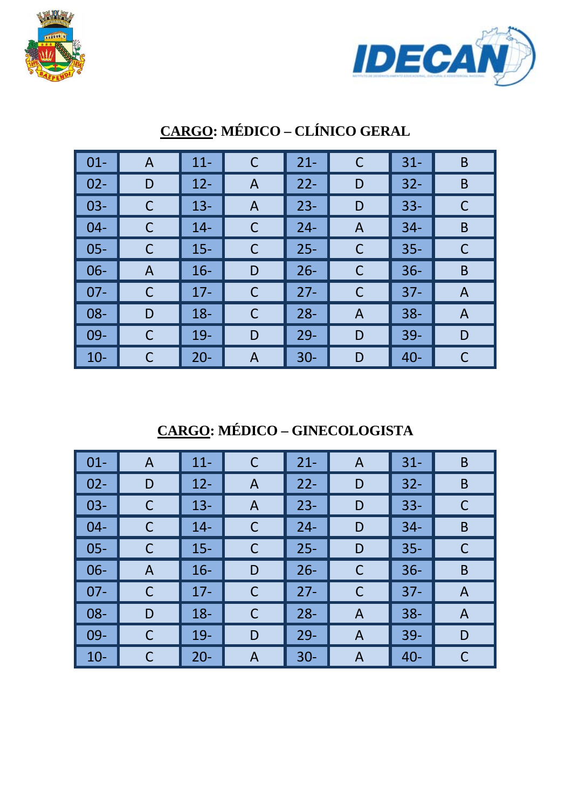



| $\vert$ 01-     | A | $11 -$ | C | $21 -$ | C | $31 -$ | B |
|-----------------|---|--------|---|--------|---|--------|---|
| $\vert$ 02-     | D | $12 -$ | A | $22 -$ | D | $32 -$ | B |
| $\vert$ 03-     | С | $13 -$ | A | $23 -$ | D | $33 -$ | C |
| $\vert$ 04-     | C | $14 -$ | C | $24 -$ | A | $34 -$ | B |
| $\vert$ 05-     | C | $15 -$ | C | $25 -$ | C | $35 -$ | C |
| $\parallel$ 06- | A | $16 -$ | D | $26 -$ | C | $36 -$ | B |
| $07 -$          | C | $17 -$ | С | $27 -$ | C | $37 -$ | A |
| $\vert$ 08-     | D | $18 -$ | C | $28 -$ | A | $38 -$ | A |
| $09-$           | C | $19-$  | D | $29 -$ | D | $39-$  | D |
| $\vert$ 10-     | С | $20 -$ | A | $30 -$ | D | $40 -$ |   |

## **CARGO: MÉDICO – CLÍNICO GERAL**

## **CARGO: MÉDICO – GINECOLOGISTA**

| $\vert$ 01-        | A            | $11 -$ | C | $21 -$ | A | $31 -$ | B |
|--------------------|--------------|--------|---|--------|---|--------|---|
| $\vert$ 02-        | D            | $12 -$ | A | $22 -$ | D | $32 -$ | B |
| $\parallel$ 03-    | C            | $13 -$ | A | $23 -$ | D | $33 -$ |   |
| $\blacksquare$ 04- | C            | $14 -$ | С | $24 -$ | D | $34 -$ | B |
| $\vert$ 05-        | C            | $15 -$ | C | $25 -$ | D | $35 -$ | C |
| $\vert$ 06-        | $\mathsf{A}$ | $16 -$ | D | $26 -$ | C | $36 -$ | B |
| $07 -$             | C            | $17 -$ | С | $27 -$ | C | $37 -$ | A |
| $\vert$ 08-        | D            | $18 -$ | C | $28 -$ | A | $38 -$ | A |
| $09-$              | С            | $19-$  | D | $29 -$ | A | $39-$  | D |
| $\vert$ 10-        | С            | $20 -$ | A | $30 -$ | A | $40 -$ |   |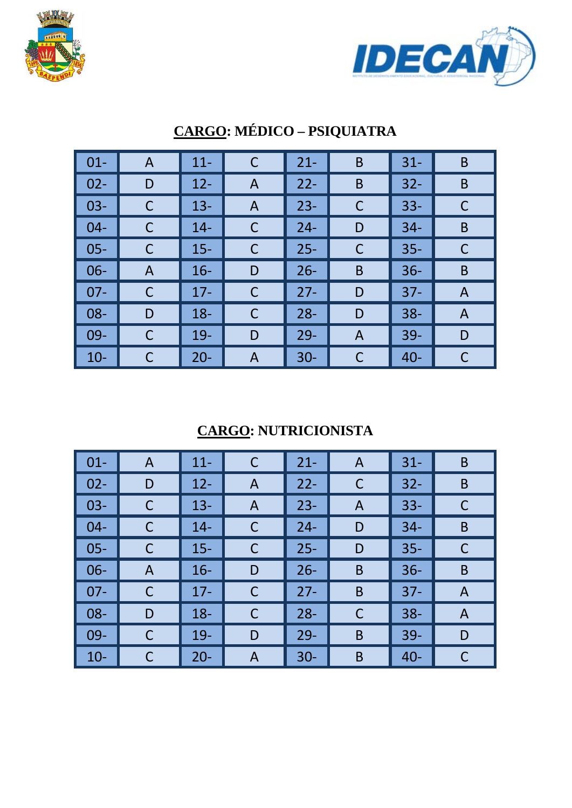



| $01 -$ | $\mathsf{A}$ | $11 -$ | C | $21 -$ | B | $31 -$ | B |
|--------|--------------|--------|---|--------|---|--------|---|
| $02 -$ | D            | $12 -$ | A | $22 -$ | B | $32 -$ | B |
| $03 -$ | C            | $13 -$ | A | $23 -$ | С | $33 -$ |   |
| $04 -$ | C            | $14 -$ | C | $24 -$ | D | $34 -$ | B |
| $05 -$ | C            | $15 -$ | C | $25 -$ | C | $35 -$ | C |
| $06 -$ | A            | $16 -$ | D | $26 -$ | B | $36 -$ | B |
| $07 -$ | C            | $17 -$ | С | $27 -$ | D | $37 -$ | A |
| 08-    | D            | $18 -$ | C | $28 -$ | D | $38 -$ | A |
| $09 -$ | С            | $19-$  | D | $29 -$ | A | $39 -$ | D |
| $10 -$ | С            | $20 -$ | Α | $30 -$ | C | $40 -$ |   |

## **CARGO: MÉDICO – PSIQUIATRA**

#### **CARGO: NUTRICIONISTA**

| $\vert$ 01- | A              | $11 -$ | C           | $21 -$ | A            | $31 -$ | B |
|-------------|----------------|--------|-------------|--------|--------------|--------|---|
| $\vert$ 02- | D              | $12 -$ | A           | $22 -$ | $\mathsf{C}$ | $32 -$ | B |
| $03 -$      | C              | $13 -$ | A           | $23 -$ | A            | $33 -$ | C |
| $04-$       | C              | $14 -$ | C           | $24 -$ | D            | $34 -$ | B |
| $\vert$ 05- | C              | $15 -$ | $\mathsf C$ | $25 -$ | D            | $35 -$ | C |
| $\vert$ 06- | $\overline{A}$ | $16 -$ | D           | $26 -$ | B            | $36 -$ | B |
| $07 -$      | C              | $17 -$ | C           | $27 -$ | B            | $37 -$ | A |
| $\vert$ 08- | D              | $18 -$ | C           | $28 -$ | $\mathsf{C}$ | $38 -$ | A |
| $09-$       | C              | $19-$  | D           | $29 -$ | B            | $39 -$ | D |
| $10 -$      | С              | $20 -$ | A           | $30 -$ | B            | $40 -$ | C |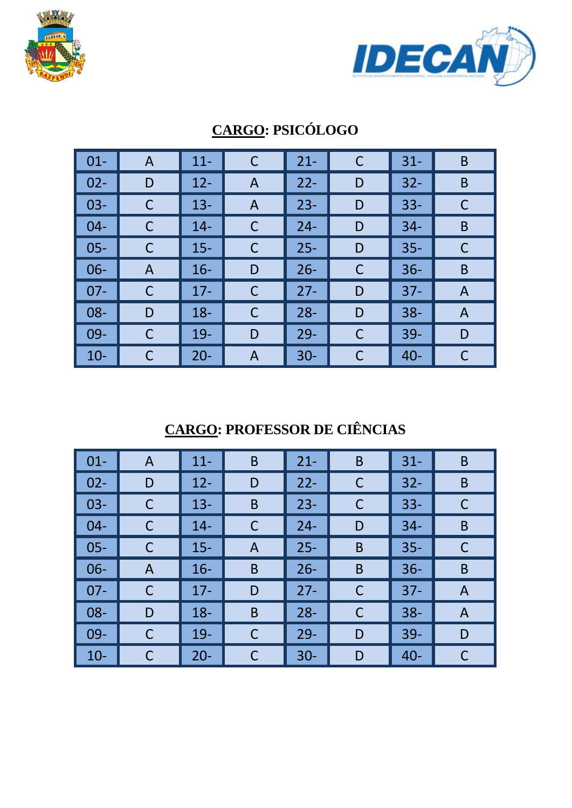



## **CARGO: PSICÓLOGO**

| $\vert$ 01- | A            | $11 -$ | C | $21 -$ | C | $31 -$ | B |
|-------------|--------------|--------|---|--------|---|--------|---|
| $02 -$      | D            | $12 -$ | A | $22 -$ | D | $32 -$ | B |
| $03 -$      | $\mathsf{C}$ | $13 -$ | A | $23 -$ | D | $33 -$ | С |
| Ι<br>$04 -$ | C            | $14 -$ | C | $24 -$ | D | $34 -$ | B |
| $05 -$      | $\mathsf{C}$ | $15 -$ | C | $25 -$ | D | $35 -$ | С |
| $06 -$      | A            | $16 -$ | D | $26 -$ | C | $36 -$ | B |
| $07 -$      | $\mathsf C$  | $17 -$ | C | $27 -$ | D | $37 -$ | A |
| $08 -$      | D            | $18 -$ | C | $28 -$ | D | $38 -$ | A |
| $09 -$      | C            | $19-$  | D | $29 -$ | C | $39 -$ | D |
| $10-$       | C            | $20 -$ | A | $30 -$ | C | $40 -$ |   |

**CARGO: PROFESSOR DE CIÊNCIAS** 

| $01 -$      | $\overline{A}$ | $11 -$ | B | $21 -$ | B | $31 -$ | B |
|-------------|----------------|--------|---|--------|---|--------|---|
| $02 -$      | D              | $12 -$ | D | $22 -$ | C | $32 -$ | B |
| $03 -$      | C              | $13 -$ | B | $23 -$ | C | $33 -$ |   |
| $04-$       | С              | $14 -$ | С | $24 -$ | D | $34 -$ | B |
| $\vert$ 05- | C              | $15 -$ | A | $25 -$ | B | $35 -$ | C |
| $\vert$ 06- | A              | $16 -$ | B | $26 -$ | B | $36 -$ | B |
| $07 -$      | C              | $17 -$ | D | $27 -$ | C | $37 -$ | A |
| $08 -$      | D              | $18 -$ | B | $28 -$ | C | $38 -$ | A |
| $09-$       | C              | $19-$  | C | $29 -$ | D | 39-    | D |
| $10 -$      | C              | $20 -$ | C | $30 -$ | D | $40 -$ | C |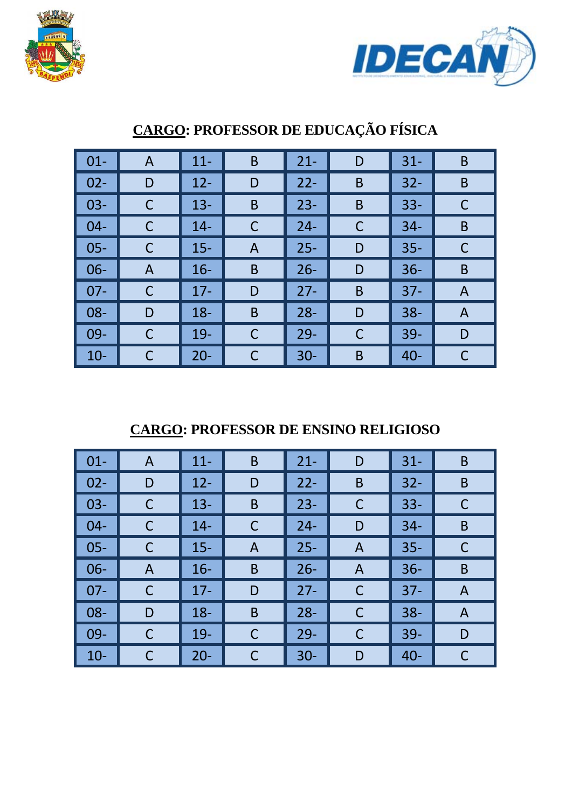



| $01 -$ | A | $11 -$ | B           | $21 -$ | D | $31 -$ | B |
|--------|---|--------|-------------|--------|---|--------|---|
| $02 -$ | D | $12 -$ | D           | $22 -$ | B | $32 -$ | B |
| $03 -$ | С | $13 -$ | B           | $23 -$ | B | $33 -$ |   |
| $04 -$ | С | $14 -$ | C           | $24 -$ | C | $34 -$ | B |
| $05 -$ | C | $15 -$ | A           | $25 -$ | D | $35 -$ | С |
| $06 -$ | A | $16 -$ | B           | $26 -$ | D | $36 -$ | B |
| $07 -$ | C | $17 -$ | D           | $27 -$ | B | $37 -$ | A |
| 08-    | D | $18 -$ | B           | $28 -$ | D | $38 -$ | A |
| 09-    | C | 19-    | $\mathsf C$ | $29 -$ | С | $39-$  | D |
| $10-$  | С | $20 -$ | C           | $30 -$ | B | $40 -$ |   |

# **CARGO: PROFESSOR DE EDUCAÇÃO FÍSICA**

**CARGO: PROFESSOR DE ENSINO RELIGIOSO**

| $\vert$ 01- | $\mathsf{A}$ | $11 -$ | B | $21 -$ | D | $31 -$ | B |
|-------------|--------------|--------|---|--------|---|--------|---|
| $02 -$      | D            | $12 -$ | D | $22 -$ | B | $32 -$ | B |
| $03 -$      | С            | $13 -$ | B | $23 -$ | С | $33 -$ |   |
| $04-$       | C            | $14 -$ | C | $24 -$ | D | $34 -$ | B |
| $05 -$      | C            | $15 -$ | A | $25 -$ | A | $35 -$ | C |
| $06 -$      | A            | $16 -$ | B | $26 -$ | А | $36 -$ | B |
| $07 -$      | С            | $17 -$ | D | $27 -$ | C | $37 -$ | A |
| $08 -$      | D            | $18 -$ | B | $28 -$ | C | $38 -$ | A |
| $09-$       | C            | $19-$  | С | $29 -$ | С | 39-    | D |
| $10 -$      | C            | $20 -$ | C | $30 -$ | D | $40 -$ |   |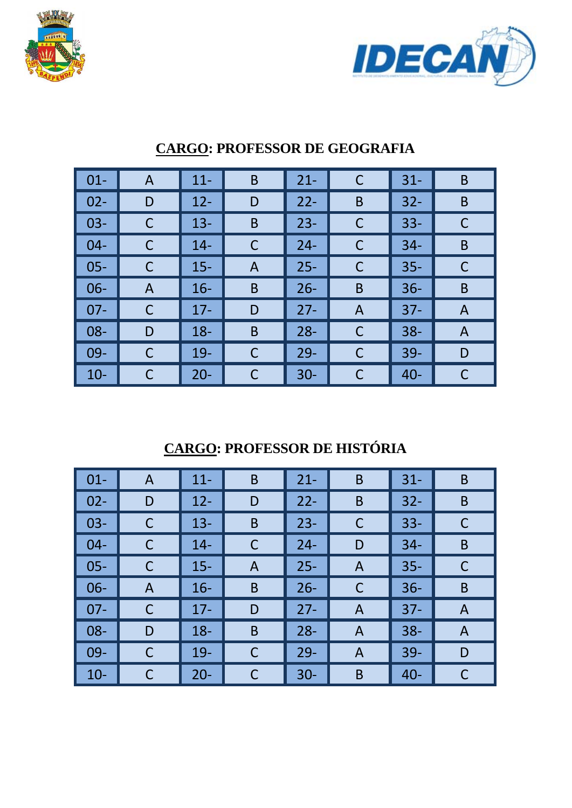



| $01 -$ | A | $11 -$ | B           | $21 -$ | $\mathsf C$ | $31 -$ | B |
|--------|---|--------|-------------|--------|-------------|--------|---|
| $02 -$ | D | $12 -$ | D           | $22 -$ | B           | $32 -$ | B |
| $03 -$ | C | $13 -$ | B           | $23 -$ | C           | $33 -$ | С |
| $04 -$ | C | $14 -$ | C           | $24 -$ | C           | $34 -$ | B |
| $05 -$ | C | $15 -$ | A           | $25 -$ | $\mathsf C$ | $35 -$ |   |
| 06-    | A | $16 -$ | B           | $26 -$ | B           | $36 -$ | B |
| $07 -$ | С | $17-$  | D           | $27 -$ | A           | $37 -$ | A |
| $08 -$ | D | $18 -$ | B           | $28 -$ | C           | $38 -$ | A |
| 09-    | С | $19-$  | $\mathsf C$ | $29 -$ | C           | 39-    | D |
| $10 -$ | С | $20 -$ | C           | $30 -$ | C           | $40 -$ | С |

#### **CARGO: PROFESSOR DE GEOGRAFIA**

**CARGO: PROFESSOR DE HISTÓRIA**

| $\vert$ 01- | $\mathsf{A}$ | $11 -$ | B | $21 -$ | B | $31 -$ | B |
|-------------|--------------|--------|---|--------|---|--------|---|
| $02 -$      | D            | $12 -$ | D | $22 -$ | B | $32 -$ | B |
| $03 -$      | C            | $13 -$ | B | $23 -$ | C | $33 -$ |   |
| $04 -$<br>Τ | C            | $14 -$ | C | $24 -$ | D | $34 -$ | B |
| $05 -$      | C            | $15 -$ | A | $25 -$ | A | $35 -$ | C |
| $06 -$      | A            | $16 -$ | B | $26 -$ | C | $36 -$ | B |
| $07 -$      | C            | $17 -$ | D | $27 -$ | A | $37 -$ | A |
| 08-         | D            | $18 -$ | B | $28 -$ | A | $38 -$ | A |
| 09-         | C            | $19-$  | C | $29-$  | A | $39-$  | D |
| $\vert$ 10- | C            | $20 -$ | С | $30 -$ | B | $40 -$ |   |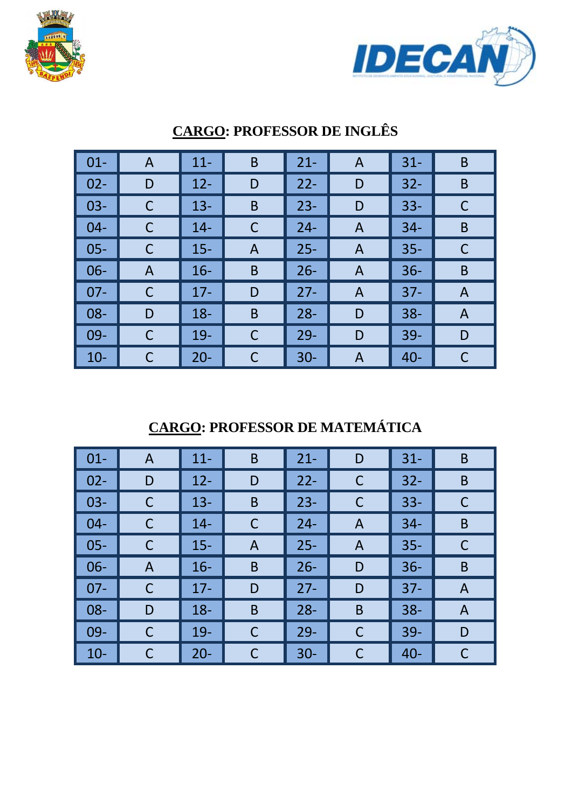



| $\vert$ 01-     | A | $11 -$ | B | $21 -$ | A | $31 -$ | B |
|-----------------|---|--------|---|--------|---|--------|---|
| $\vert$ 02-     | D | $12 -$ | D | $22 -$ | D | $32 -$ | B |
| $03-$           | С | $13 -$ | B | $23 -$ | D | $33 -$ | С |
| $\vert$ 04-     | C | $14 -$ | С | $24 -$ | A | $34 -$ | B |
| $\vert$ 05-     | C | $15 -$ | A | $25 -$ | A | $35 -$ | C |
| $\parallel$ 06- | A | $16 -$ | B | $26 -$ | A | $36 -$ | B |
| $07 -$          | C | $17 -$ | D | $27 -$ | A | $37 -$ | A |
| $\vert$ 08-     | D | $18 -$ | B | $28 -$ | D | $38 -$ | A |
| $\parallel$ 09- | С | $19-$  | C | $29 -$ | D | $39 -$ | D |
| $\vert$ 10-     | С | $20 -$ | С | $30 -$ | A | $40 -$ |   |

#### **CARGO: PROFESSOR DE INGLÊS**

**CARGO: PROFESSOR DE MATEMÁTICA**

| $\vert$ 01- | A            | $11 -$ | B | $21 -$ | D | $31 -$ | B |
|-------------|--------------|--------|---|--------|---|--------|---|
| $02 -$      | D            | $12 -$ | D | $22 -$ | C | $32 -$ | B |
| $\vert$ 03- | $\mathsf C$  | $13 -$ | B | $23 -$ | C | $33 -$ |   |
| $04 -$      | C            | $14 -$ | С | $24 -$ | A | $34 -$ | B |
| $05 -$      | С            | $15 -$ | A | $25 -$ | A | $35 -$ | C |
| $\vert$ 06- | $\mathsf{A}$ | $16 -$ | B | $26 -$ | D | $36 -$ | B |
| $07 -$      | C            | $17 -$ | D | $27 -$ | D | $37 -$ | A |
| $08 -$      | D            | $18 -$ | B | $28 -$ | B | $38 -$ | A |
| $09-$       | C            | $19-$  | C | $29 -$ | C | 39-    | D |
| $10-$       | C            | $20 -$ | C | $30 -$ | C | $40 -$ |   |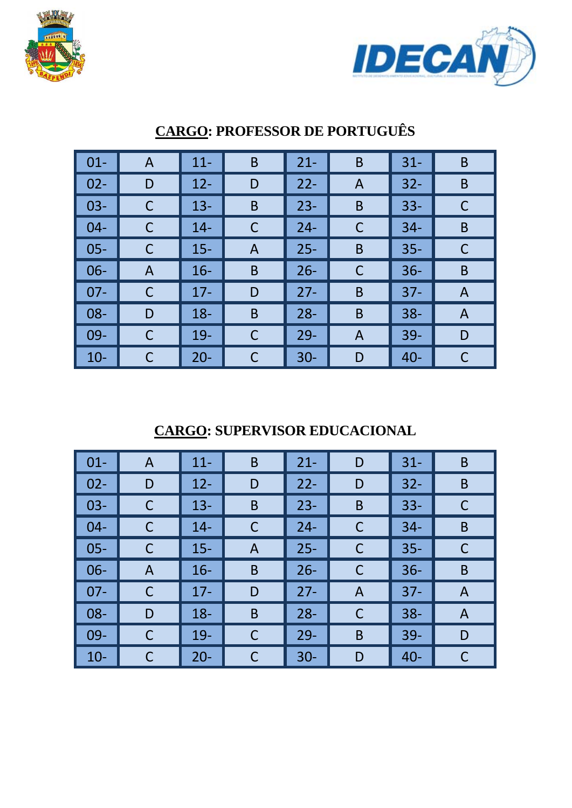



| $01 -$          | A | $11 -$ | B | $21 -$ | B | $31 -$ | B |
|-----------------|---|--------|---|--------|---|--------|---|
| $\vert$ 02-     | D | $12 -$ | D | $22 -$ | A | $32 -$ | B |
| $03 -$          | С | $13 -$ | B | $23 -$ | B | $33 -$ |   |
| $04-$<br>ı      | C | $14 -$ | C | $24 -$ | C | $34 -$ | B |
| $\vert$ 05-     | C | $15 -$ | A | $25 -$ | B | $35 -$ | C |
| $\vert$ 06-     | A | $16 -$ | B | $26 -$ | C | $36 -$ | B |
| $07 -$          | C | $17 -$ | D | $27 -$ | B | $37 -$ | A |
| $08 -$          | D | $18 -$ | B | $28 -$ | B | $38 -$ | A |
| $09-$<br>Ι      | C | $19-$  | C | $29 -$ | A | $39-$  | D |
| $\parallel$ 10- | С | $20 -$ | С | $30 -$ | D | $40 -$ |   |

## **CARGO: PROFESSOR DE PORTUGUÊS**

#### **CARGO: SUPERVISOR EDUCACIONAL**

| $\vert$ 01- | A           | $11 -$ | B | $21 -$ | D | $31 -$ | B |
|-------------|-------------|--------|---|--------|---|--------|---|
| $\vert$ 02- | D           | $12 -$ | D | $22 -$ | D | $32 -$ | B |
| $\vert$ 03- | $\mathsf C$ | $13 -$ | B | $23 -$ | B | $33 -$ |   |
| $\vert$ 04- | C           | $14 -$ | С | $24 -$ | C | $34 -$ | B |
| $\vert$ 05- | C           | $15 -$ | A | $25 -$ | C | $35 -$ | C |
| $\vert$ 06- | A           | $16 -$ | B | $26 -$ | С | $36 -$ | B |
| $07 -$      | C           | $17 -$ | D | $27 -$ | A | $37 -$ | A |
| $\vert$ 08- | D           | $18 -$ | B | $28 -$ | C | $38 -$ | A |
| $09-$       | C           | $19-$  | C | $29 -$ | B | $39-$  | D |
| $10-$       | С           | $20 -$ | С | $30 -$ | D | $40 -$ |   |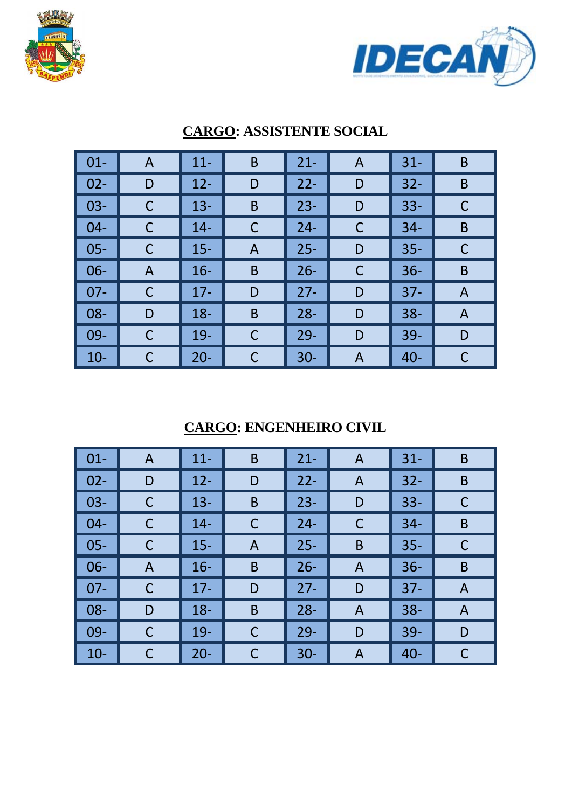



| $01 -$ | $\mathsf{A}$ | $11 -$ | B | $21 -$ | A | $31 -$ | B |
|--------|--------------|--------|---|--------|---|--------|---|
| $02 -$ | D            | $12 -$ | D | $22 -$ | D | $32 -$ | B |
| $03 -$ | С            | $13 -$ | B | $23 -$ | D | $33 -$ | C |
| $04 -$ | С            | $14 -$ | C | $24 -$ | C | $34-$  | B |
| $05 -$ | C            | $15 -$ | A | $25 -$ | D | $35 -$ |   |
| $06 -$ | $\mathsf{A}$ | $16 -$ | B | $26 -$ | C | $36 -$ | B |
| $07 -$ | C            | $17 -$ | D | $27 -$ | D | $37 -$ | A |
| 08-    | D            | $18 -$ | B | $28 -$ | D | $38 -$ | A |
| $09 -$ | C            | $19-$  | C | $29 -$ | D | $39 -$ | D |
| $10-$  | С            | $20 -$ | C | $30 -$ | Α | $40 -$ |   |

#### **CARGO: ASSISTENTE SOCIAL**

#### **CARGO: ENGENHEIRO CIVIL**

| $\vert$ 01- | A            | $11 -$ | B | $21 -$ | A | $31 -$ | B |
|-------------|--------------|--------|---|--------|---|--------|---|
| $02 -$      | D            | $12 -$ | D | $22 -$ | A | $32 -$ | B |
| $\vert$ 03- | $\mathsf C$  | $13 -$ | B | $23 -$ | D | $33 -$ |   |
| $04-$       | C            | $14 -$ | C | $24 -$ | C | $34 -$ | B |
| $\vert$ 05- | C            | $15 -$ | A | $25 -$ | B | $35 -$ | C |
| $06-$       | $\mathsf{A}$ | $16 -$ | B | $26 -$ | A | $36 -$ | B |
| $07 -$      | C            | $17 -$ | D | $27 -$ | D | $37 -$ | A |
| $\vert$ 08- | D            | $18 -$ | B | $28 -$ | A | $38 -$ | A |
| $09-$       | C            | $19-$  | C | $29 -$ | D | 39-    | D |
| $10-$       | С            | $20 -$ | С | $30 -$ | A | $40 -$ | С |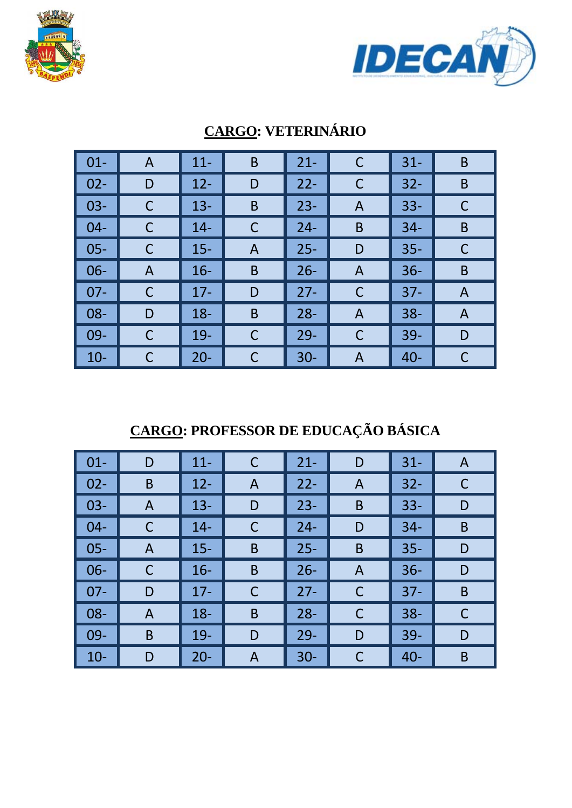



| $01 -$ | $\overline{A}$ | $11 -$ | B | $21 -$ | $\mathsf C$  | $31 -$ | B |
|--------|----------------|--------|---|--------|--------------|--------|---|
| $02 -$ | D              | $12 -$ | D | $22 -$ | C            | $32 -$ | B |
| $03 -$ | C              | $13 -$ | B | $23 -$ | A            | $33 -$ | C |
| $04 -$ | C              | $14 -$ | С | $24 -$ | B            | $34 -$ | B |
| $05 -$ | C              | $15 -$ | A | $25 -$ | D            | $35 -$ | C |
| $06 -$ | A              | $16 -$ | B | $26 -$ | A            | $36 -$ | B |
| $07 -$ | C              | $17 -$ | D | $27 -$ | C            | $37 -$ | A |
| 08-    | D              | $18 -$ | B | $28 -$ | A            | $38 -$ | A |
| 09-    | C              | $19-$  | С | $29 -$ | $\mathsf{C}$ | $39 -$ | D |
| $10 -$ | С              | $20 -$ | С | $30 -$ | A            | $40 -$ |   |

## **CARGO: VETERINÁRIO**

**CARGO: PROFESSOR DE EDUCAÇÃO BÁSICA**

| $\vert$ 01-     | D           | $11 -$ | C | $21 -$ | D | $31 -$ | A |
|-----------------|-------------|--------|---|--------|---|--------|---|
| $02 -$          | B           | $12 -$ | A | $22 -$ | A | $32 -$ |   |
| $\parallel$ 03- | A           | $13 -$ | D | $23 -$ | B | $33 -$ | D |
| $\vert$ 04-     | C           | $14 -$ | С | $24 -$ | D | $34 -$ | B |
| $\vert$ 05-     | A           | $15 -$ | B | $25 -$ | B | $35 -$ | D |
| $\vert$ 06-     | $\mathsf C$ | $16 -$ | B | $26 -$ | A | $36 -$ | D |
| $07 -$          | D           | $17 -$ | С | $27 -$ | C | $37 -$ | B |
| $\vert$ 08-     | A           | $18 -$ | B | $28 -$ | C | $38 -$ | C |
| $09-$           | B           | $19-$  | D | $29 -$ | D | $39 -$ | D |
| $10-$           | D           | $20 -$ | A | $30 -$ | C | $40 -$ | B |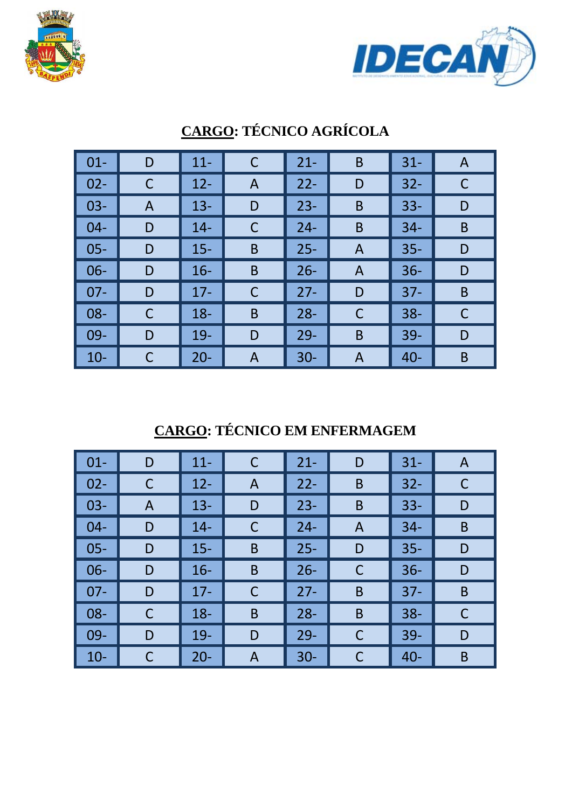



| $01 -$ | D           | $11 -$ | C | $21 -$ | B | $31 -$ | A |
|--------|-------------|--------|---|--------|---|--------|---|
| $02 -$ | C           | $12 -$ | A | $22 -$ | D | $32 -$ |   |
| $03 -$ | A           | $13 -$ | D | $23 -$ | B | $33 -$ | D |
| $04 -$ | D           | $14 -$ | C | $24 -$ | B | $34 -$ | B |
| $05 -$ | D           | $15 -$ | B | $25 -$ | A | $35 -$ | D |
| $06 -$ | D           | $16 -$ | B | $26 -$ | A | $36 -$ | D |
| $07 -$ | D           | $17 -$ | C | $27 -$ | D | $37 -$ | B |
| 08-    | $\mathsf C$ | $18 -$ | B | $28 -$ | C | $38 -$ | C |
| 09-    | D           | $19-$  | D | $29-$  | B | $39 -$ | D |
| $10-$  | С           | $20 -$ | A | $30 -$ | A | $40 -$ | B |

## **CARGO: TÉCNICO AGRÍCOLA**

## **CARGO: TÉCNICO EM ENFERMAGEM**

| $\vert$ 01- | D | $11 -$ | C | $21 -$ | D | $31 -$ | A |
|-------------|---|--------|---|--------|---|--------|---|
| $02 -$      | С | $12 -$ | A | $22 -$ | B | $32 -$ | C |
| $03-$       | A | $13 -$ | D | $23 -$ | B | $33 -$ | D |
| $04-$       | D | $14 -$ | С | $24 -$ | A | $34 -$ | B |
| $05 -$      | D | $15 -$ | B | $25 -$ | D | $35 -$ | D |
| $06 -$      | D | $16 -$ | B | $26 -$ | C | $36 -$ | D |
| $07 -$      | D | $17 -$ | С | $27 -$ | B | $37 -$ | B |
| $08 -$      | C | $18 -$ | B | $28 -$ | B | $38 -$ | C |
| $09-$       | D | $19-$  | D | $29 -$ | C | $39-$  | D |
| $10-$       | С | $20 -$ | A | $30 -$ | C | $40 -$ | B |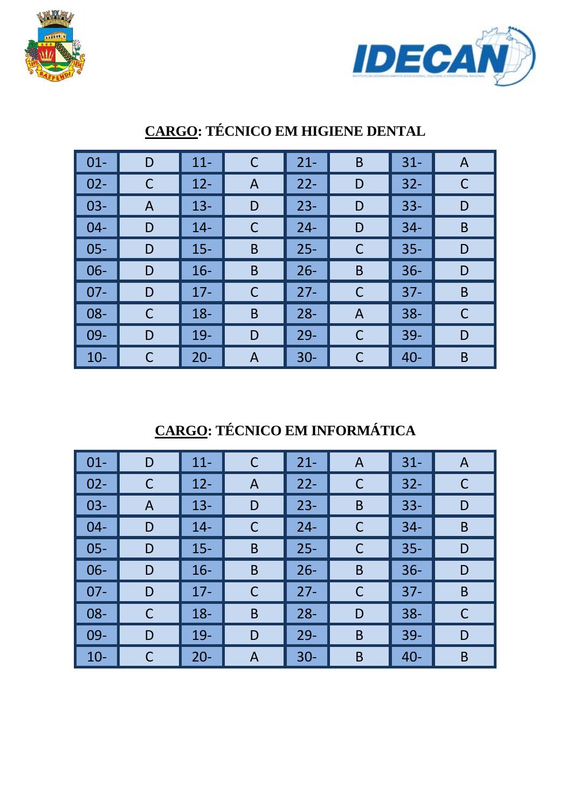



| $\vert$ 01- | D | $11 -$ | С | $21 -$ | B | $31 -$ | A |
|-------------|---|--------|---|--------|---|--------|---|
| $\vert$ 02- | C | $12 -$ | A | $22 -$ | D | $32 -$ |   |
| $03-$       | A | $13 -$ | D | $23 -$ | D | $33 -$ | D |
| $\vert$ 04- | D | $14 -$ | С | $24 -$ | D | $34-$  | B |
| $\vert$ 05- | D | $15 -$ | B | $25 -$ | C | $35 -$ | D |
| $\vert$ 06- | D | $16 -$ | B | $26 -$ | B | $36 -$ | D |
| $07 -$      | D | $17 -$ | C | $27 -$ | C | $37 -$ | B |
| $\vert$ 08- | C | $18 -$ | B | $28 -$ | A | $38 -$ | C |
| $09-$       | D | $19-$  | D | $29 -$ | С | $39 -$ | D |
| $\vert$ 10- | С | $20 -$ | A | $30 -$ | C | $40 -$ | B |

### **CARGO: TÉCNICO EM HIGIENE DENTAL**

## **CARGO: TÉCNICO EM INFORMÁTICA**

| $01 -$ | D              | $11 -$ | C | $21 -$ | A | $31 -$ | A |
|--------|----------------|--------|---|--------|---|--------|---|
| $02 -$ | C              | $12 -$ | A | $22 -$ | C | $32 -$ | C |
| $03 -$ | $\overline{A}$ | $13 -$ | D | $23 -$ | B | $33 -$ | D |
| $04 -$ | D              | $14 -$ | С | $24 -$ | C | $34 -$ | B |
| $05 -$ | D              | $15 -$ | B | $25 -$ | C | $35 -$ | D |
| $06 -$ | D              | $16 -$ | B | $26 -$ | B | $36 -$ | D |
| $07 -$ | D              | $17 -$ | С | $27 -$ | C | $37 -$ | B |
| 08-    | С              | $18 -$ | B | $28 -$ | D | $38 -$ | C |
| $09 -$ | D              | $19-$  | D | $29 -$ | B | $39-$  | D |
| $10-$  | С              | $20 -$ | A | $30 -$ | B | $40 -$ | B |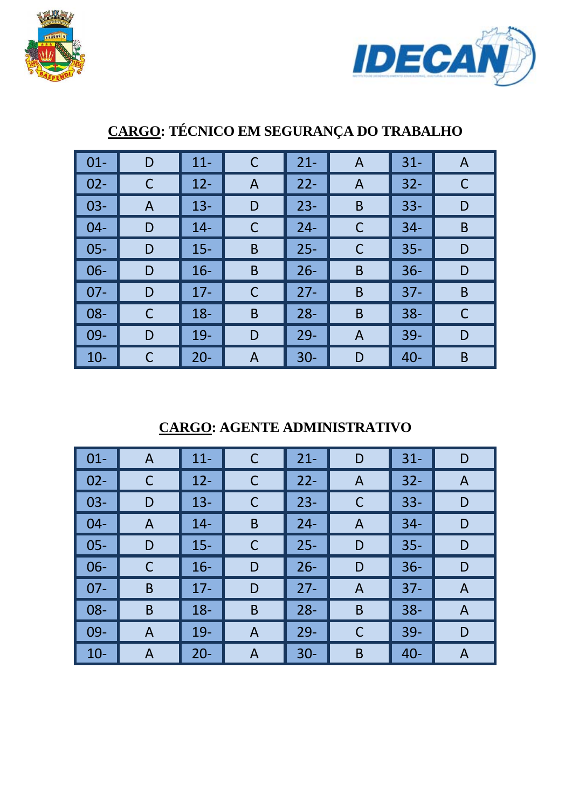



| $01 -$ | D | $11 -$ | $\mathsf C$ | $21 -$ | $\mathsf{A}$ | $31 -$ | A |
|--------|---|--------|-------------|--------|--------------|--------|---|
| $02 -$ | C | $12 -$ | A           | $22 -$ | A            | $32 -$ | С |
| $03 -$ | A | $13 -$ | D           | $23 -$ | B            | $33 -$ | D |
| $04 -$ | D | $14 -$ | С           | $24 -$ | С            | $34 -$ | B |
| $05 -$ | D | $15 -$ | B           | $25 -$ | C            | $35 -$ | D |
| $06 -$ | D | $16 -$ | B           | $26 -$ | B            | $36 -$ | D |
| $07 -$ | D | $17 -$ | C           | $27 -$ | B            | $37 -$ | B |
| 08-    | C | $18 -$ | B           | $28 -$ | B            | $38 -$ | C |
| 09-    | D | 19-    | D           | $29 -$ | A            | $39 -$ | D |
| $10 -$ | С | $20 -$ | A           | $30 -$ | D            | $40 -$ | B |

## **CARGO: TÉCNICO EM SEGURANÇA DO TRABALHO**

**CARGO: AGENTE ADMINISTRATIVO**

| $\vert$ 01-     | A           | $11 -$ | C           | $21 -$ | D | $31 -$ | D |
|-----------------|-------------|--------|-------------|--------|---|--------|---|
| $02 -$          | C           | $12 -$ | $\mathsf C$ | $22 -$ | A | $32 -$ | A |
| $\parallel$ 03- | D           | $13 -$ | C           | $23 -$ | C | $33 -$ | D |
| $\vert$ 04-     | A           | $14 -$ | B           | $24 -$ | A | $34 -$ | D |
| $\vert$ 05-     | D           | $15 -$ | С           | $25 -$ | D | $35 -$ | D |
| $\parallel$ 06- | $\mathsf C$ | $16-$  | D           | $26 -$ | D | $36 -$ | D |
| $07 -$          | B           | $17 -$ | D           | $27 -$ | A | $37 -$ | A |
| $\vert$ 08-     | B           | $18 -$ | B           | $28 -$ | B | $38 -$ | A |
| $09-$           | A           | $19 -$ | A           | $29 -$ | C | 39-    | D |
| $10-$           | A           | $20 -$ | A           | $30 -$ | B | $40 -$ | A |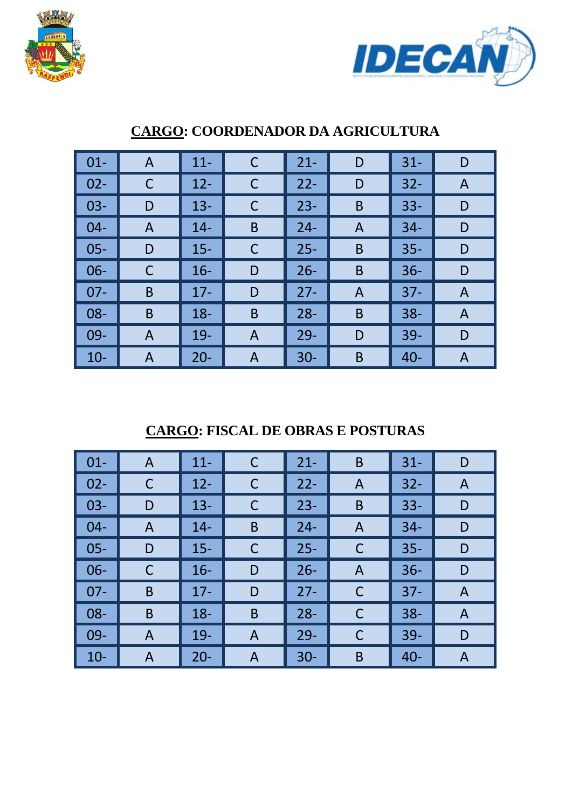



| $01 -$ | A | $11 -$ | $\mathsf C$ | $21 -$ | D | $31 -$ | D |
|--------|---|--------|-------------|--------|---|--------|---|
| $02 -$ | C | $12 -$ | $\mathsf C$ | $22 -$ | D | $32 -$ | A |
| $03 -$ | D | $13 -$ | C           | $23 -$ | B | $33 -$ | D |
| $04 -$ | A | $14 -$ | B           | $24 -$ | A | $34 -$ | D |
| $05 -$ | D | $15 -$ | C           | $25 -$ | B | $35 -$ | D |
| $06 -$ | C | $16 -$ | D           | $26 -$ | B | $36 -$ | D |
| $07 -$ | B | $17 -$ | D           | $27 -$ | A | $37 -$ | A |
| 08-    | B | $18 -$ | B           | $28 -$ | B | $38 -$ | A |
| 09-    | A | $19-$  | A           | $29 -$ | D | $39-$  | D |
| $10-$  | A | $20 -$ | A           | $30 -$ | B | $40 -$ | Α |

#### **CARGO: COORDENADOR DA AGRICULTURA**

**CARGO: FISCAL DE OBRAS E POSTURAS**

| $\vert$ 01- | A            | $11 -$ | C | $21 -$ | B | $31 -$ | D |
|-------------|--------------|--------|---|--------|---|--------|---|
| $02 -$      | C            | $12 -$ | C | $22 -$ | A | $32 -$ | A |
| $03 -$      | D            | $13 -$ | С | $23 -$ | B | $33 -$ | D |
| $04-$       | $\mathsf{A}$ | $14 -$ | B | $24 -$ | A | $34 -$ | D |
| $\vert$ 05- | D            | $15 -$ | C | $25 -$ | C | $35 -$ | D |
| $06 -$      | $\mathsf C$  | $16 -$ | D | $26 -$ | A | $36 -$ | D |
| $07 -$      | B            | $17 -$ | D | $27 -$ | C | $37 -$ | A |
| $\vert$ 08- | B            | $18 -$ | B | $28 -$ | C | $38 -$ | A |
| $09-$       | $\mathsf{A}$ | $19-$  | A | $29 -$ | С | $39 -$ | D |
| $10 -$      | A            | $20 -$ | A | $30 -$ | B | $40 -$ | A |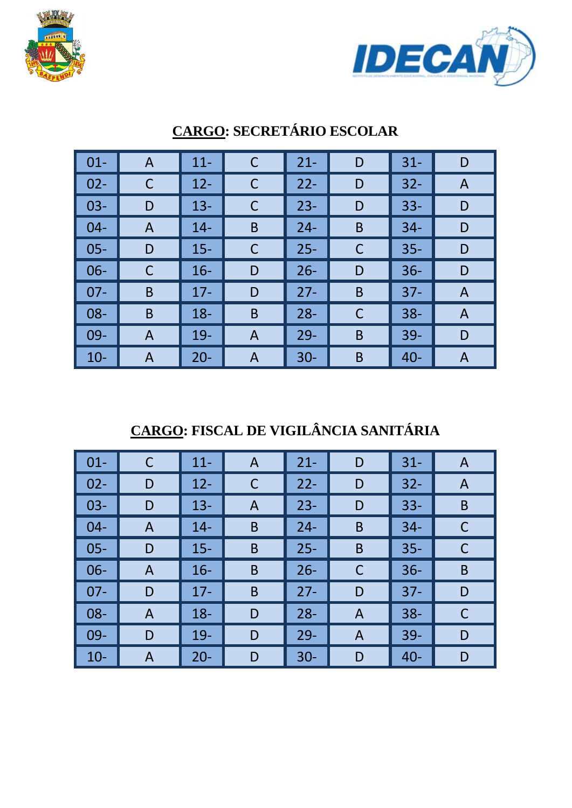



| $\vert$ 01-        | A           | $11 -$ | C | $21 -$ | D            | $31 -$ | D |
|--------------------|-------------|--------|---|--------|--------------|--------|---|
| $\vert$ 02-        | C           | $12 -$ | С | $22 -$ | D            | $32 -$ | A |
| $03 -$             | D           | $13 -$ | С | $23 -$ | D            | $33 -$ | D |
| $\blacksquare$ 04- | A           | $14 -$ | B | $24 -$ | B            | $34 -$ | D |
| $\vert$ 05-        | D           | $15 -$ | C | $25 -$ | $\mathsf C$  | $35 -$ | D |
| $\parallel$ 06-    | $\mathsf C$ | $16 -$ | D | $26 -$ | D            | $36 -$ | D |
| $07 -$             | B           | $17 -$ | D | $27 -$ | B            | $37 -$ | A |
| 08-                | B           | $18 -$ | B | $28 -$ | $\mathsf{C}$ | $38 -$ | A |
| $09 -$             | A           | $19-$  | A | $29 -$ | B            | $39 -$ | D |
| $10-$              | A           | $20 -$ | A | $30 -$ | B            | $40 -$ | A |

## **CARGO: SECRETÁRIO ESCOLAR**

**CARGO: FISCAL DE VIGILÂNCIA SANITÁRIA** 

| $\vert$ 01- | C | $11 -$ | A | $21 -$ | D | $31 -$ | A |
|-------------|---|--------|---|--------|---|--------|---|
| $02 -$      | D | $12 -$ | C | $22 -$ | D | $32 -$ | A |
| $\vert$ 03- | D | $13 -$ | A | $23 -$ | D | $33 -$ | B |
| $\vert$ 04- | A | $14 -$ | B | $24 -$ | B | $34 -$ | C |
| $\vert$ 05- | D | $15 -$ | B | $25 -$ | B | $35 -$ | C |
| $\vert$ 06- | A | $16 -$ | B | $26 -$ | C | $36 -$ | B |
| $07 -$      | D | $17 -$ | B | $27 -$ | D | $37 -$ | D |
| $\vert$ 08- | A | $18 -$ | D | $28 -$ | A | $38 -$ | C |
| $09-$       | D | $19 -$ | D | $29 -$ | A | $39-$  | D |
| $10-$       | A | $20 -$ | D | $30 -$ | D | $40 -$ | D |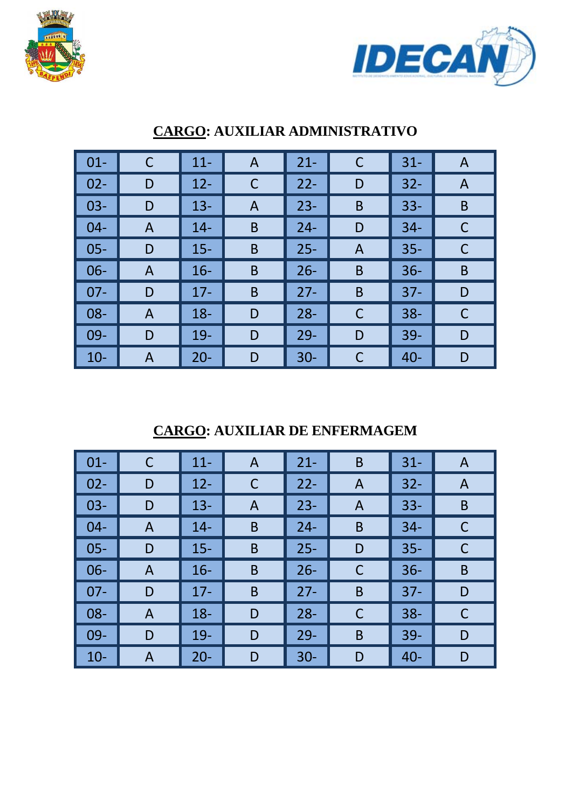



| $\vert$ 01-     | C | $11 -$ | A | $21 -$ | $\mathsf C$  | $31 -$ | A |
|-----------------|---|--------|---|--------|--------------|--------|---|
| $\parallel$ 02- | D | $12 -$ | C | $22 -$ | D            | $32 -$ | A |
| $03 -$<br>I     | D | $13 -$ | A | $23 -$ | B            | $33 -$ | B |
| $04 -$          | A | $14 -$ | B | $24 -$ | D            | $34 -$ | C |
| $\vert$ 05-     | D | $15 -$ | B | $25 -$ | A            | $35 -$ | C |
| $\vert$ 06-     | A | $16 -$ | B | $26 -$ | B            | $36 -$ | B |
| $07 -$          | D | $17 -$ | B | $27 -$ | B            | $37 -$ | D |
| 08-             | A | $18 -$ | D | $28 -$ | $\mathsf{C}$ | $38 -$ | C |
| $09-$<br>Ι      | D | $19-$  | D | $29 -$ | D            | $39-$  | D |
| $\parallel$ 10- | A | $20 -$ | D | $30 -$ | C            | $40 -$ | D |

#### **CARGO: AUXILIAR ADMINISTRATIVO**

#### **CARGO: AUXILIAR DE ENFERMAGEM**

| $\vert$ 01-        | C            | $11 -$ | A | $21 -$ | B | $31 -$ | A            |
|--------------------|--------------|--------|---|--------|---|--------|--------------|
| $\vert$ 02-        | D            | $12 -$ | C | $22 -$ | A | $32 -$ | A            |
| $\vert$ 03-        | D            | $13 -$ | A | $23 -$ | A | $33 -$ | B            |
| $\blacksquare$ 04- | A            | $14 -$ | B | $24 -$ | B | $34 -$ | $\mathsf{C}$ |
| $\vert$ 05-        | D            | $15 -$ | B | $25 -$ | D | $35 -$ | C            |
| $\vert$ 06-        | $\mathsf{A}$ | $16 -$ | B | $26 -$ | C | $36 -$ | B            |
| $07 -$             | D            | $17 -$ | B | $27 -$ | B | $37 -$ | D            |
| $\vert$ 08-        | A            | $18 -$ | D | $28 -$ | C | $38 -$ | C            |
| $09-$              | D            | $19-$  | D | $29 -$ | B | $39 -$ | D            |
| $10-$              | A            | $20 -$ | D | $30 -$ | D | $40 -$ | D            |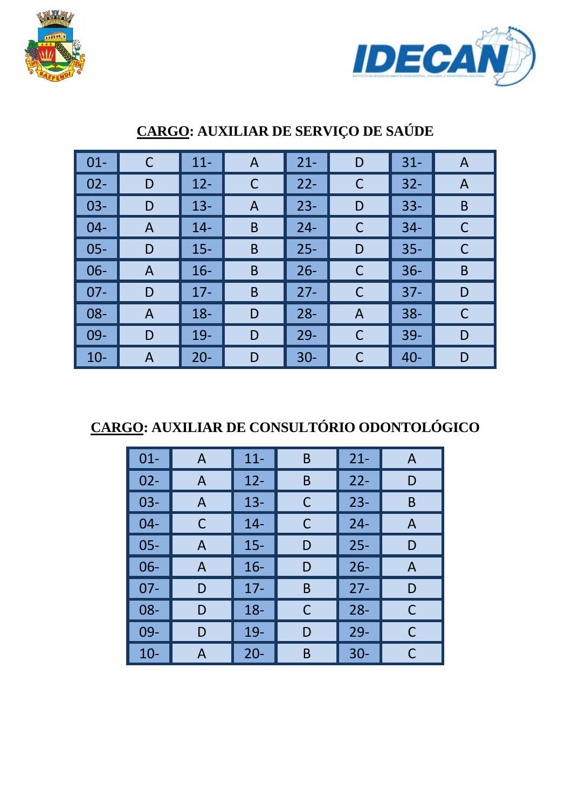



| $\vert$ 01-     | C | $11 -$ | A | $21 -$ | D | $31 -$ | A |
|-----------------|---|--------|---|--------|---|--------|---|
| $02 -$          | D | $12 -$ | C | $22 -$ | C | $32 -$ | A |
| $03 -$          | D | $13 -$ | A | $23 -$ | D | $33 -$ | B |
| $04 -$          | A | $14 -$ | B | $24 -$ | С | $34 -$ | C |
| $\parallel$ 05- | D | $15 -$ | B | $25 -$ | D | $35 -$ | C |
| I<br>$06 -$     | A | $16 -$ | B | $26 -$ | C | $36 -$ | B |
| $07 -$          | D | $17 -$ | B | $27 -$ | С | $37 -$ | D |
| $08 -$          | A | $18 -$ | D | $28 -$ | A | $38 -$ | C |
| $09-$           | D | $19-$  | D | $29 -$ | C | $39-$  | D |
| $10-$           | A | $20 -$ | D | $30 -$ | C | $40 -$ | D |

# **CARGO: AUXILIAR DE SERVIÇO DE SAÚDE**

## **CARGO: AUXILIAR DE CONSULTÓRIO ODONTOLÓGICO**

| $01 -$ | A | $11 -$ | B | $21 -$ | A |
|--------|---|--------|---|--------|---|
| $02 -$ | A | $12 -$ | B | $22 -$ | D |
| $03 -$ | A | $13 -$ | C | $23 -$ | B |
| $04 -$ | C | $14 -$ | C | $24 -$ | A |
| $05 -$ | A | $15 -$ | D | $25 -$ | D |
| $06 -$ | A | $16 -$ | D | $26 -$ | A |
| 07-    | D | $17-$  | B | $27 -$ | D |
| $08 -$ | D | $18 -$ | C | $28 -$ | C |
| 09-    | D | 19-    | D | $29-$  | C |
| $10-$  | А | $20 -$ | B | $30 -$ | С |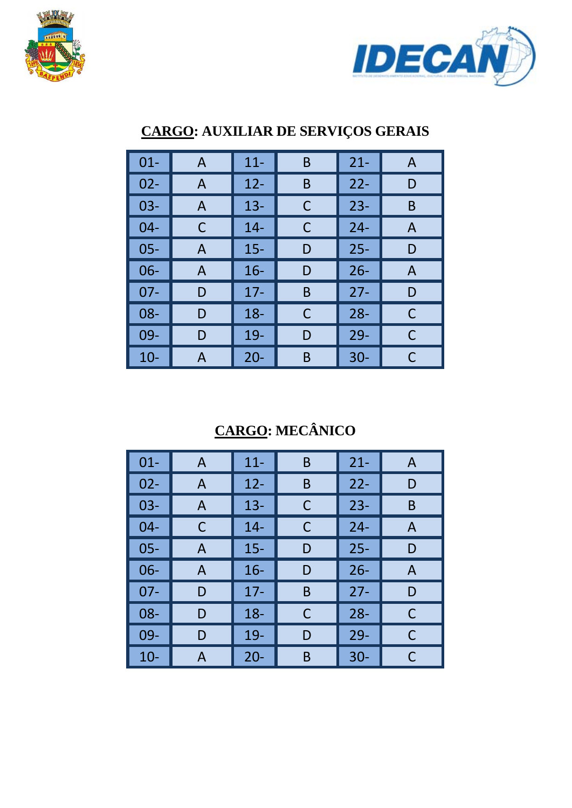



| $01 -$ | A | $11 -$ | B | $21 -$ | A |
|--------|---|--------|---|--------|---|
| $02 -$ | A | $12 -$ | Β | $22 -$ | D |
| $03 -$ | A | $13 -$ | С | $23 -$ | B |
| $04 -$ | С | $14-$  | С | $24 -$ | A |
| $05 -$ | A | $15 -$ | D | $25 -$ | D |
| $06 -$ | A | $16 -$ | D | $26 -$ | A |
| $07 -$ | D | $17-$  | Β | $27 -$ | D |
| 08-    | D | $18 -$ | C | $28 -$ | C |
| 09-    | D | $19-$  | D | $29 -$ | C |
| $10 -$ | А | $20 -$ | Β | $30 -$ |   |

### **CARGO: AUXILIAR DE SERVIÇOS GERAIS**

## **CARGO: MECÂNICO**

| $01 -$ | A | $11 -$ | B | $21 -$ | A |
|--------|---|--------|---|--------|---|
| $02 -$ | A | $12 -$ | B | $22 -$ | D |
| $03-$  | A | $13 -$ | C | $23 -$ | B |
| $04 -$ | C | $14 -$ | C | $24 -$ | A |
| $05 -$ | A | $15 -$ | D | $25 -$ | D |
| 06-    | A | $16 -$ | D | $26 -$ | A |
| $07 -$ | D | $17 -$ | B | $27 -$ | D |
| 08-    | D | $18 -$ | C | $28 -$ | C |
| 09-    | D | $19-$  | D | $29-$  | C |
| $10-$  | А | $20 -$ | B | $30 -$ | С |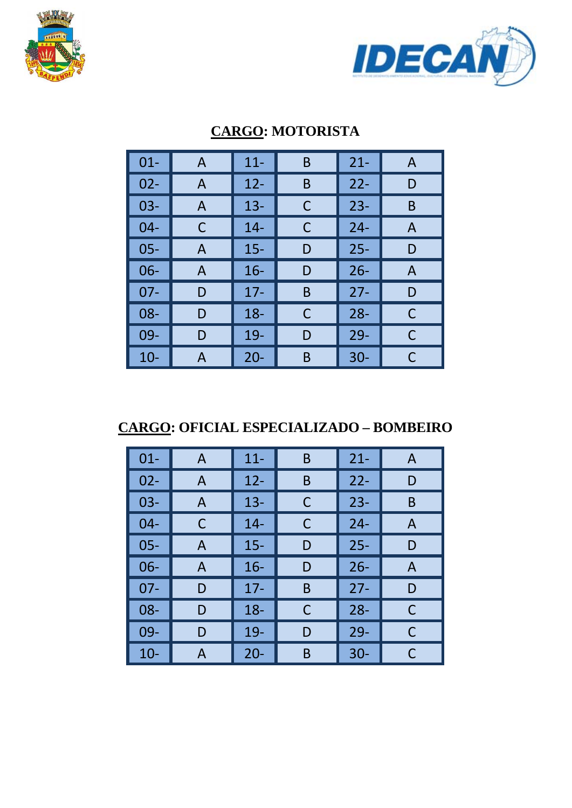



| $01 -$ | A            | $11 -$ | B | $21 -$ | A |
|--------|--------------|--------|---|--------|---|
| $02 -$ | A            | $12 -$ | B | $22 -$ | D |
| $03-$  | $\mathsf{A}$ | $13 -$ | С | $23 -$ | B |
| 04-    | С            | $14 -$ | C | $24 -$ | A |
| $05 -$ | A            | $15 -$ | D | $25 -$ | D |
| 06-    | $\mathsf{A}$ | $16 -$ | D | $26 -$ | A |
| $07 -$ | D            | $17 -$ | B | $27 -$ | D |
| 08-    | D            | $18 -$ | C | $28 -$ | C |
| 09-    | D            | 19-    | D | $29-$  | C |
| $10-$  | А            | $20 -$ | Β | $30 -$ |   |

#### **CARGO: MOTORISTA**

**CARGO: OFICIAL ESPECIALIZADO – BOMBEIRO** 

| $01 -$ | A | $11 -$ | Β | $21 -$ | A |
|--------|---|--------|---|--------|---|
| $02 -$ | A | $12 -$ | B | $22 -$ | D |
| $03 -$ | A | $13 -$ | C | $23 -$ | B |
| 04-    | С | $14-$  | С | $24 -$ | A |
| $05 -$ | A | $15 -$ | D | $25 -$ | D |
| 06-    | A | $16 -$ | D | $26 -$ | A |
| $07 -$ | D | $17-$  | B | $27 -$ | D |
| 08-    | D | $18 -$ | C | $28 -$ | C |
| 09-    | D | 19-    | D | $29 -$ | С |
| $10 -$ | А | $20 -$ | B | $30 -$ | C |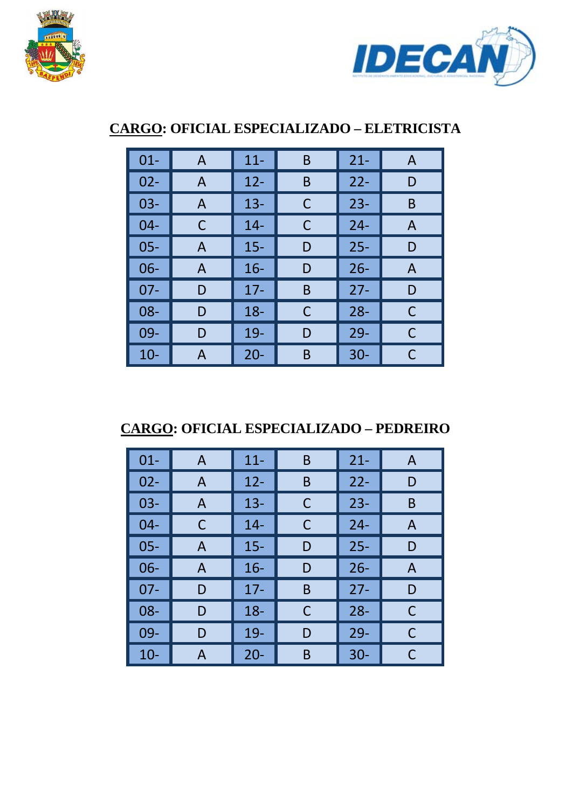



## **CARGO: OFICIAL ESPECIALIZADO – ELETRICISTA**

| $01 -$ | A | $11 -$ | B | $21 -$ | A |
|--------|---|--------|---|--------|---|
| $02 -$ | A | $12 -$ | B | $22 -$ | D |
| $03 -$ | A | $13 -$ | С | $23 -$ | B |
| 04-    | C | $14 -$ | С | $24 -$ | A |
| $05 -$ | A | $15 -$ | D | $25 -$ | D |
| 06-    | A | $16 -$ | D | $26 -$ | A |
| $07 -$ | D | $17 -$ | B | $27 -$ | D |
| 08-    | D | $18 -$ | C | $28 -$ | С |
| 09-    | D | 19-    | D | $29 -$ | С |
| $10 -$ | А | $20 -$ | B | $30 -$ | C |

**CARGO: OFICIAL ESPECIALIZADO – PEDREIRO**

| $01 -$ | A | $11 -$ | B | $21 -$ | A |
|--------|---|--------|---|--------|---|
| $02 -$ | A | $12 -$ | B | $22 -$ | D |
| $03-$  | A | $13 -$ | C | $23 -$ | B |
| 04-    | С | $14 -$ | C | $24 -$ | A |
| $05 -$ | A | $15 -$ | D | $25 -$ | D |
| $06 -$ | A | $16 -$ | D | $26 -$ | A |
| $07 -$ | D | $17 -$ | B | $27 -$ | D |
| $08 -$ | D | $18 -$ | C | $28 -$ | C |
| 09-    | D | $19-$  | D | $29 -$ | С |
| $10-$  | A | $20 -$ | B | $30 -$ | C |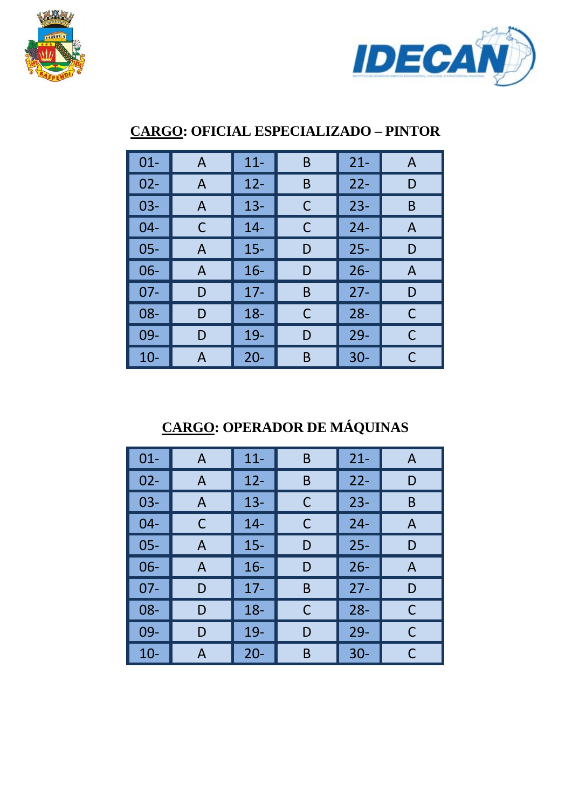



| $01 -$ | A | $11 -$ | B | $21 -$ | A |
|--------|---|--------|---|--------|---|
| $02 -$ | A | $12 -$ | B | $22 -$ | D |
| $03 -$ | A | $13 -$ | С | $23 -$ | B |
| $04 -$ | С | $14 -$ | С | $24 -$ | A |
| $05 -$ | A | $15 -$ | D | $25 -$ | D |
| $06 -$ | A | $16 -$ | D | $26 -$ | A |
| 07-    | D | $17-$  | B | $27 -$ | D |
| 08-    | D | $18 -$ | C | $28 -$ | С |
| 09-    | D | 19-    | D | $29-$  | C |
| $10-$  | А | $20 -$ | Β | $30 -$ | С |

#### **CARGO: OFICIAL ESPECIALIZADO – PINTOR**

## **CARGO: OPERADOR DE MÁQUINAS**

| $01 -$ | A | $11 -$ | B | $21 -$ | A |
|--------|---|--------|---|--------|---|
| $02 -$ | A | $12 -$ | B | $22 -$ | D |
| $03 -$ | A | $13 -$ | C | $23 -$ | B |
| $04 -$ | C | $14 -$ | C | $24 -$ | A |
| $05 -$ | A | $15 -$ | D | $25 -$ | D |
| $06 -$ | A | $16 -$ | D | $26 -$ | A |
| $07 -$ | D | $17-$  | B | $27 -$ | D |
| 08-    | D | $18 -$ | C | $28 -$ | C |
| 09-    | D | 19-    | D | $29 -$ | C |
| $10-$  | A | $20 -$ | Β | $30 -$ | С |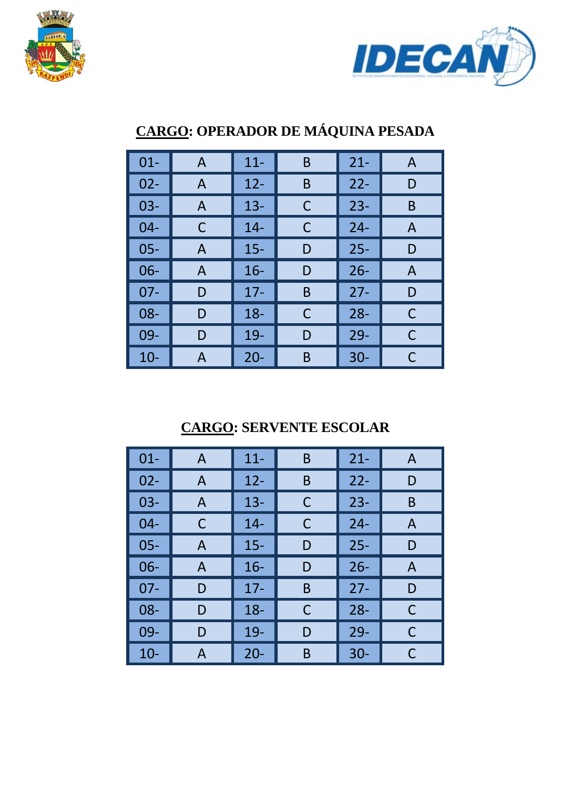



| $01 -$ | Α | $11 -$ | B | $21 -$ | A |
|--------|---|--------|---|--------|---|
| $02 -$ | A | $12 -$ | B | $22 -$ | D |
| $03 -$ | A | $13 -$ | С | $23 -$ | B |
| $04 -$ | С | $14 -$ | С | $24 -$ | A |
| $05 -$ | A | $15 -$ | D | $25 -$ | D |
| $06 -$ | A | $16 -$ | D | $26 -$ | A |
| 07-    | D | $17 -$ | B | $27 -$ | D |
| 08-    | D | $18 -$ | C | $28 -$ | С |
| 09-    | D | 19-    | D | $29 -$ | C |
| $10-$  | A | $20 -$ | Β | $30 -$ | С |

## **CARGO: OPERADOR DE MÁQUINA PESADA**

#### **CARGO: SERVENTE ESCOLAR**

| $01 -$ | A | $11 -$ | B | $21 -$ | A |
|--------|---|--------|---|--------|---|
| $02 -$ | A | $12 -$ | B | $22 -$ | D |
| $03 -$ | A | $13 -$ | С | $23 -$ | B |
| 04-    | С | $14-$  | C | $24 -$ | A |
| $05 -$ | A | $15 -$ | D | $25 -$ | D |
| 06-    | A | $16 -$ | D | $26 -$ | A |
| $07 -$ | D | $17-$  | B | $27-$  | D |
| $08 -$ | D | $18 -$ | С | $28 -$ | C |
| 09-    | D | 19-    | D | $29 -$ | C |
| $10 -$ | A | $20 -$ | Β | $30 -$ | C |